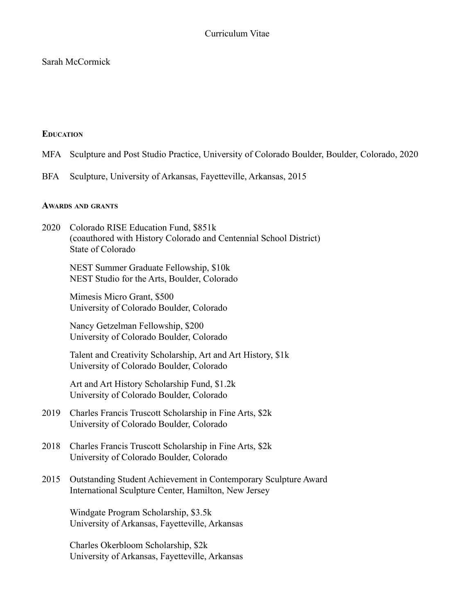# Curriculum Vitae

# Sarah McCormick

#### **EDUCATION**

- MFA Sculpture and Post Studio Practice, University of Colorado Boulder, Boulder, Colorado, 2020
- BFA Sculpture, University of Arkansas, Fayetteville, Arkansas, 2015

#### **AWARDS AND GRANTS**

2020 Colorado RISE Education Fund, \$851k (coauthored with History Colorado and Centennial School District) State of Colorado

NEST Summer Graduate Fellowship, \$10k NEST Studio for the Arts, Boulder, Colorado

Mimesis Micro Grant, \$500 University of Colorado Boulder, Colorado

Nancy Getzelman Fellowship, \$200 University of Colorado Boulder, Colorado

Talent and Creativity Scholarship, Art and Art History, \$1k University of Colorado Boulder, Colorado

Art and Art History Scholarship Fund, \$1.2k University of Colorado Boulder, Colorado

- 2019 Charles Francis Truscott Scholarship in Fine Arts, \$2k University of Colorado Boulder, Colorado
- 2018 Charles Francis Truscott Scholarship in Fine Arts, \$2k University of Colorado Boulder, Colorado
- 2015 Outstanding Student Achievement in Contemporary Sculpture Award International Sculpture Center, Hamilton, New Jersey

Windgate Program Scholarship, \$3.5k University of Arkansas, Fayetteville, Arkansas

Charles Okerbloom Scholarship, \$2k University of Arkansas, Fayetteville, Arkansas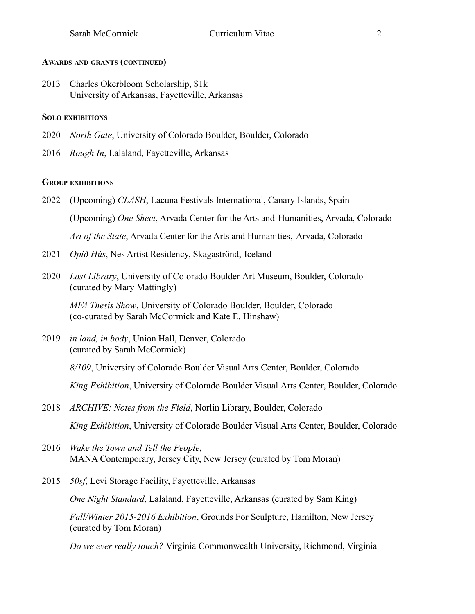#### **AWARDS AND GRANTS (CONTINUED)**

2013 Charles Okerbloom Scholarship, \$1k University of Arkansas, Fayetteville, Arkansas

#### **SOLO EXHIBITIONS**

- 2020 *North Gate*, University of Colorado Boulder, Boulder, Colorado
- 2016 *Rough In*, Lalaland, Fayetteville, Arkansas

#### **GROUP EXHIBITIONS**

- 2022 (Upcoming) *CLASH*, Lacuna Festivals International, Canary Islands, Spain (Upcoming) *One Sheet*, Arvada Center for the Arts and Humanities, Arvada, Colorado *Art of the State*, Arvada Center for the Arts and Humanities, Arvada, Colorado
- 2021 *Opið Hús*, Nes Artist Residency, Skagaströnd, Iceland
- 2020 *Last Library*, University of Colorado Boulder Art Museum, Boulder, Colorado (curated by Mary Mattingly)

*MFA Thesis Show*, University of Colorado Boulder, Boulder, Colorado (co-curated by Sarah McCormick and Kate E. Hinshaw)

2019 *in land, in body*, Union Hall, Denver, Colorado (curated by Sarah McCormick)

*8/109*, University of Colorado Boulder Visual Arts Center, Boulder, Colorado

*King Exhibition*, University of Colorado Boulder Visual Arts Center, Boulder, Colorado

- 2018 *ARCHIVE: Notes from the Field*, Norlin Library, Boulder, Colorado *King Exhibition*, University of Colorado Boulder Visual Arts Center, Boulder, Colorado
- 2016 *Wake the Town and Tell the People*, MANA Contemporary, Jersey City, New Jersey (curated by Tom Moran)
- 2015 *50sf*, Levi Storage Facility, Fayetteville, Arkansas

*One Night Standard*, Lalaland, Fayetteville, Arkansas (curated by Sam King)

*Fall/Winter 2015-2016 Exhibition*, Grounds For Sculpture, Hamilton, New Jersey (curated by Tom Moran)

*Do we ever really touch?* Virginia Commonwealth University, Richmond, Virginia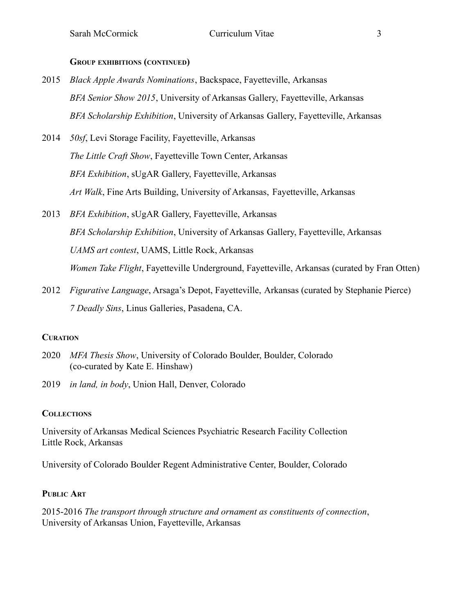#### **GROUP EXHIBITIONS (CONTINUED)**

- 2015 *Black Apple Awards Nominations*, Backspace, Fayetteville, Arkansas *BFA Senior Show 2015*, University of Arkansas Gallery, Fayetteville, Arkansas *BFA Scholarship Exhibition*, University of Arkansas Gallery, Fayetteville, Arkansas
- 2014 *50sf*, Levi Storage Facility, Fayetteville, Arkansas *The Little Craft Show*, Fayetteville Town Center, Arkansas *BFA Exhibition*, sUgAR Gallery, Fayetteville, Arkansas *Art Walk*, Fine Arts Building, University of Arkansas, Fayetteville, Arkansas
- 2013 *BFA Exhibition*, sUgAR Gallery, Fayetteville, Arkansas *BFA Scholarship Exhibition*, University of Arkansas Gallery, Fayetteville, Arkansas *UAMS art contest*, UAMS, Little Rock, Arkansas *Women Take Flight*, Fayetteville Underground, Fayetteville, Arkansas (curated by Fran Otten)
- 2012 *Figurative Language*, Arsaga's Depot, Fayetteville, Arkansas (curated by Stephanie Pierce) *7 Deadly Sins*, Linus Galleries, Pasadena, CA.

#### **CURATION**

- 2020 *MFA Thesis Show*, University of Colorado Boulder, Boulder, Colorado (co-curated by Kate E. Hinshaw)
- 2019 *in land, in body*, Union Hall, Denver, Colorado

#### **COLLECTIONS**

University of Arkansas Medical Sciences Psychiatric Research Facility Collection Little Rock, Arkansas

University of Colorado Boulder Regent Administrative Center, Boulder, Colorado

#### **PUBLIC ART**

2015-2016 *The transport through structure and ornament as constituents of connection*, University of Arkansas Union, Fayetteville, Arkansas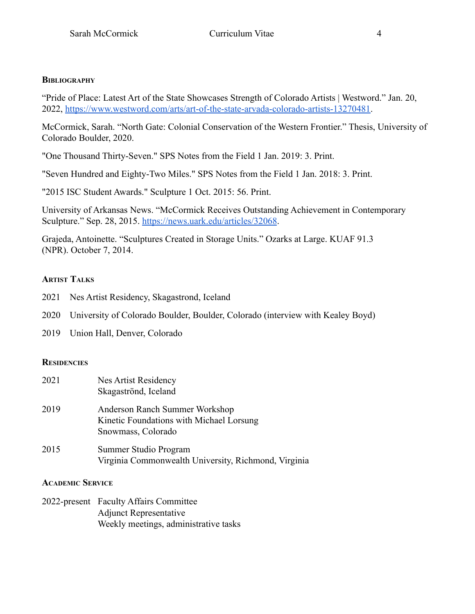# **BIBLIOGRAPHY**

"Pride of Place: Latest Art of the State Showcases Strength of Colorado Artists | Westword." Jan. 20, 2022, [https://www.westword.com/arts/art-of-the-state-arvada-colorado-artists-13270481.](https://www.westword.com/arts/art-of-the-state-arvada-colorado-artists-13270481)

McCormick, Sarah. "North Gate: Colonial Conservation of the Western Frontier." Thesis, University of Colorado Boulder, 2020.

"One Thousand Thirty-Seven." SPS Notes from the Field 1 Jan. 2019: 3. Print.

"Seven Hundred and Eighty-Two Miles." SPS Notes from the Field 1 Jan. 2018: 3. Print.

"2015 ISC Student Awards." Sculpture 1 Oct. 2015: 56. Print.

University of Arkansas News. "McCormick Receives Outstanding Achievement in Contemporary Sculpture." Sep. 28, 2015. <https://news.uark.edu/articles/32068>.

Grajeda, Antoinette. "Sculptures Created in Storage Units." Ozarks at Large. KUAF 91.3 (NPR). October 7, 2014.

# **ARTIST TALKS**

2021 Nes Artist Residency, Skagastrond, Iceland

2020 University of Colorado Boulder, Boulder, Colorado (interview with Kealey Boyd)

2019 Union Hall, Denver, Colorado

# **RESIDENCIES**

| 2021 | Nes Artist Residency<br>Skagaströnd, Iceland                                                     |
|------|--------------------------------------------------------------------------------------------------|
| 2019 | Anderson Ranch Summer Workshop<br>Kinetic Foundations with Michael Lorsung<br>Snowmass, Colorado |
| 2015 | Summer Studio Program<br>Virginia Commonwealth University, Richmond, Virginia                    |

# **ACADEMIC SERVICE**

2022-present Faculty Affairs Committee Adjunct Representative Weekly meetings, administrative tasks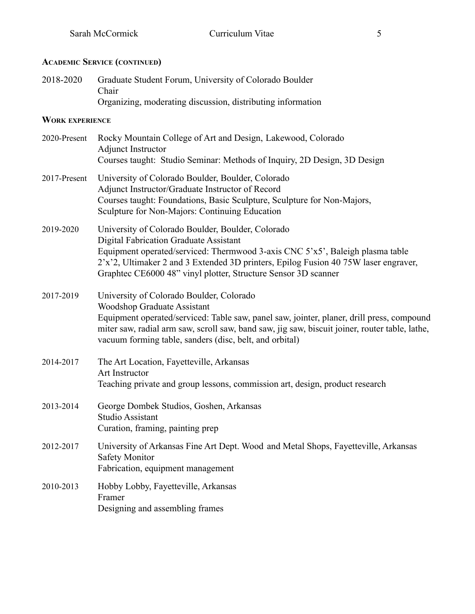# **ACADEMIC SERVICE (CONTINUED)**

| 2018-2020              | Graduate Student Forum, University of Colorado Boulder<br>Chair<br>Organizing, moderating discussion, distributing information                                                                                                                                                                                                           |
|------------------------|------------------------------------------------------------------------------------------------------------------------------------------------------------------------------------------------------------------------------------------------------------------------------------------------------------------------------------------|
| <b>WORK EXPERIENCE</b> |                                                                                                                                                                                                                                                                                                                                          |
| 2020-Present           | Rocky Mountain College of Art and Design, Lakewood, Colorado<br><b>Adjunct Instructor</b><br>Courses taught: Studio Seminar: Methods of Inquiry, 2D Design, 3D Design                                                                                                                                                                    |
| 2017-Present           | University of Colorado Boulder, Boulder, Colorado<br>Adjunct Instructor/Graduate Instructor of Record<br>Courses taught: Foundations, Basic Sculpture, Sculpture for Non-Majors,<br>Sculpture for Non-Majors: Continuing Education                                                                                                       |
| 2019-2020              | University of Colorado Boulder, Boulder, Colorado<br>Digital Fabrication Graduate Assistant<br>Equipment operated/serviced: Thermwood 3-axis CNC 5'x5', Baleigh plasma table<br>2'x'2, Ultimaker 2 and 3 Extended 3D printers, Epilog Fusion 40 75W laser engraver,<br>Graphtec CE6000 48" vinyl plotter, Structure Sensor 3D scanner    |
| 2017-2019              | University of Colorado Boulder, Colorado<br><b>Woodshop Graduate Assistant</b><br>Equipment operated/serviced: Table saw, panel saw, jointer, planer, drill press, compound<br>miter saw, radial arm saw, scroll saw, band saw, jig saw, biscuit joiner, router table, lathe,<br>vacuum forming table, sanders (disc, belt, and orbital) |
| 2014-2017              | The Art Location, Fayetteville, Arkansas<br>Art Instructor<br>Teaching private and group lessons, commission art, design, product research                                                                                                                                                                                               |
| 2013-2014              | George Dombek Studios, Goshen, Arkansas<br>Studio Assistant<br>Curation, framing, painting prep                                                                                                                                                                                                                                          |
| 2012-2017              | University of Arkansas Fine Art Dept. Wood and Metal Shops, Fayetteville, Arkansas<br><b>Safety Monitor</b><br>Fabrication, equipment management                                                                                                                                                                                         |
| 2010-2013              | Hobby Lobby, Fayetteville, Arkansas<br>Framer<br>Designing and assembling frames                                                                                                                                                                                                                                                         |